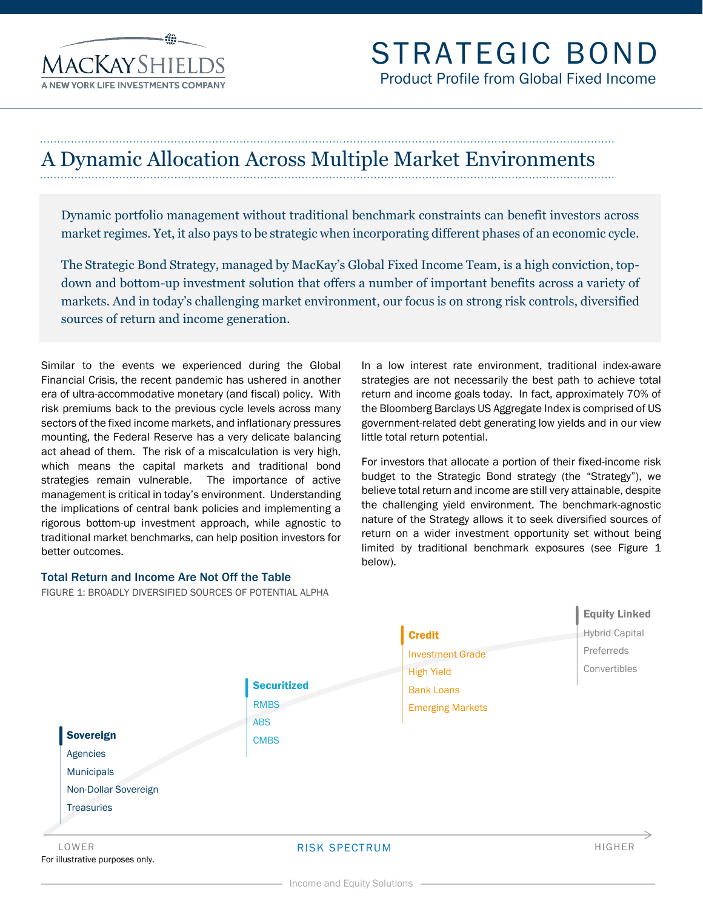**AACKAYSHIEI** 

# A Dynamic Allocation Across Multiple Market Environments

Dynamic portfolio management without traditional benchmark constraints can benefit investors across market regimes. Yet, it also pays to be strategic when incorporating different phases of an economic cycle.

The Strategic Bond Strategy, managed by MacKay's Global Fixed Income Team, is a high conviction, topdown and bottom-up investment solution that offers a number of important benefits across a variety of markets. And in today's challenging market environment, our focus is on strong risk controls, diversified sources of return and income generation.

Similar to the events we experienced during the Global Financial Crisis, the recent pandemic has ushered in another era of ultra-accommodative monetary (and fiscal) policy. With risk premiums back to the previous cycle levels across many sectors of the fixed income markets, and inflationary pressures mounting, the Federal Reserve has a very delicate balancing act ahead of them. The risk of a miscalculation is very high, which means the capital markets and traditional bond strategies remain vulnerable. The importance of active management is critical in today's environment. Understanding the implications of central bank policies and implementing a rigorous bottom-up investment approach, while agnostic to traditional market benchmarks, can help position investors for better outcomes.

#### Total Return and Income Are Not Off the Table

FIGURE 1: BROADLY DIVERSIFIED SOURCES OF POTENTIAL ALPHA

In a low interest rate environment, traditional index-aware strategies are not necessarily the best path to achieve total return and income goals today. In fact, approximately 70% of the Bloomberg Barclays US Aggregate Index is comprised of US government-related debt generating low yields and in our view little total return potential.

For investors that allocate a portion of their fixed-income risk budget to the Strategic Bond strategy (the "Strategy"), we believe total return and income are still very attainable, despite the challenging yield environment. The benchmark-agnostic nature of the Strategy allows it to seek diversified sources of return on a wider investment opportunity set without being limited by traditional benchmark exposures (see Figure 1 below).



Income and Equity Solutions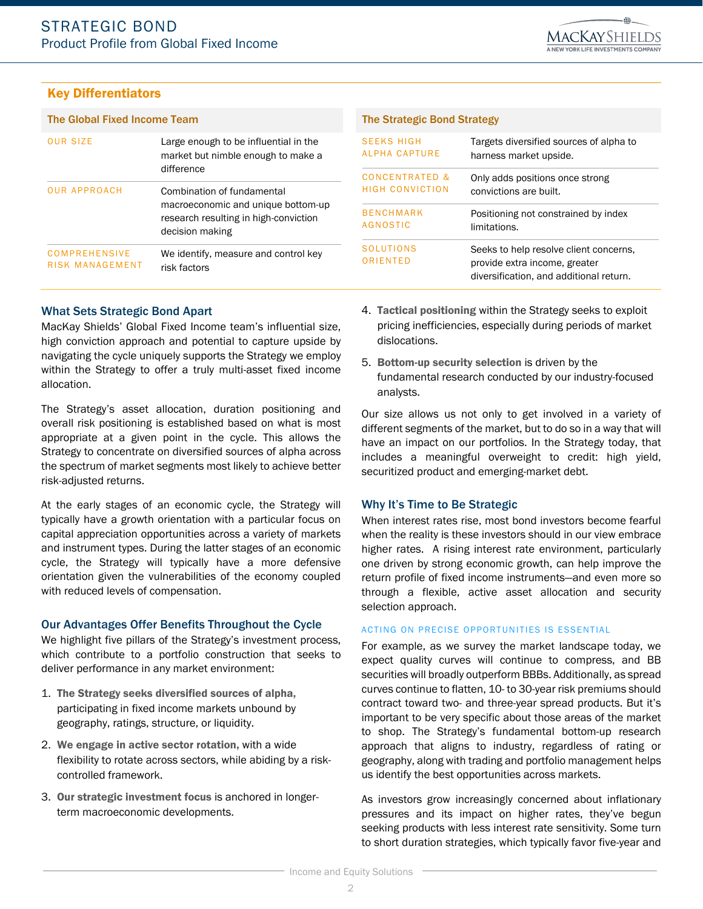### Key Differentiators

| <b>OUR SIZE</b>                         | Large enough to be influential in the<br>market but nimble enough to make a<br>difference                                    |
|-----------------------------------------|------------------------------------------------------------------------------------------------------------------------------|
| <b>OUR APPROACH</b>                     | Combination of fundamental<br>macroeconomic and unique bottom-up<br>research resulting in high-conviction<br>decision making |
| <b>COMPREHENSIVE</b><br>RISK MANAGEMENT | We identify, measure and control key<br>risk factors                                                                         |

#### The Global Fixed Income Team The Strategic Bond Strategy

| <b>SEEKS HIGH</b>            | Targets diversified sources of alpha to                                                                            |
|------------------------------|--------------------------------------------------------------------------------------------------------------------|
| ALPHA CAPTURE                | harness market upside.                                                                                             |
| <b>CONCENTRATED &amp;</b>    | Only adds positions once strong                                                                                    |
| HIGH CONVICTION              | convictions are built.                                                                                             |
| <b>BENCHMARK</b>             | Positioning not constrained by index                                                                               |
| AGNOSTIC                     | limitations.                                                                                                       |
| <b>SOLUTIONS</b><br>ORIENTED | Seeks to help resolve client concerns,<br>provide extra income, greater<br>diversification, and additional return. |

#### What Sets Strategic Bond Apart

MacKay Shields' Global Fixed Income team's influential size, high conviction approach and potential to capture upside by navigating the cycle uniquely supports the Strategy we employ within the Strategy to offer a truly multi-asset fixed income allocation.

The Strategy's asset allocation, duration positioning and overall risk positioning is established based on what is most appropriate at a given point in the cycle. This allows the Strategy to concentrate on diversified sources of alpha across the spectrum of market segments most likely to achieve better risk-adjusted returns.

At the early stages of an economic cycle, the Strategy will typically have a growth orientation with a particular focus on capital appreciation opportunities across a variety of markets and instrument types. During the latter stages of an economic cycle, the Strategy will typically have a more defensive orientation given the vulnerabilities of the economy coupled with reduced levels of compensation.

#### Our Advantages Offer Benefits Throughout the Cycle

We highlight five pillars of the Strategy's investment process, which contribute to a portfolio construction that seeks to deliver performance in any market environment:

- 1. The Strategy seeks diversified sources of alpha, participating in fixed income markets unbound by geography, ratings, structure, or liquidity.
- 2. We engage in active sector rotation, with a wide flexibility to rotate across sectors, while abiding by a riskcontrolled framework.
- 3. Our strategic investment focus is anchored in longerterm macroeconomic developments.
- 4. Tactical positioning within the Strategy seeks to exploit pricing inefficiencies, especially during periods of market dislocations.
- 5. Bottom-up security selection is driven by the fundamental research conducted by our industry-focused analysts.

Our size allows us not only to get involved in a variety of different segments of the market, but to do so in a way that will have an impact on our portfolios. In the Strategy today, that includes a meaningful overweight to credit: high yield, securitized product and emerging-market debt.

#### Why It's Time to Be Strategic

When interest rates rise, most bond investors become fearful when the reality is these investors should in our view embrace higher rates. A rising interest rate environment, particularly one driven by strong economic growth, can help improve the return profile of fixed income instruments—and even more so through a flexible, active asset allocation and security selection approach.

#### ACTING ON PRECISE OPPORTUNITIES IS ESSENTIAL

For example, as we survey the market landscape today, we expect quality curves will continue to compress, and BB securities will broadly outperform BBBs. Additionally, as spread curves continue to flatten, 10- to 30-year risk premiums should contract toward two- and three-year spread products. But it's important to be very specific about those areas of the market to shop. The Strategy's fundamental bottom-up research approach that aligns to industry, regardless of rating or geography, along with trading and portfolio management helps us identify the best opportunities across markets.

As investors grow increasingly concerned about inflationary pressures and its impact on higher rates, they've begun seeking products with less interest rate sensitivity. Some turn to short duration strategies, which typically favor five-year and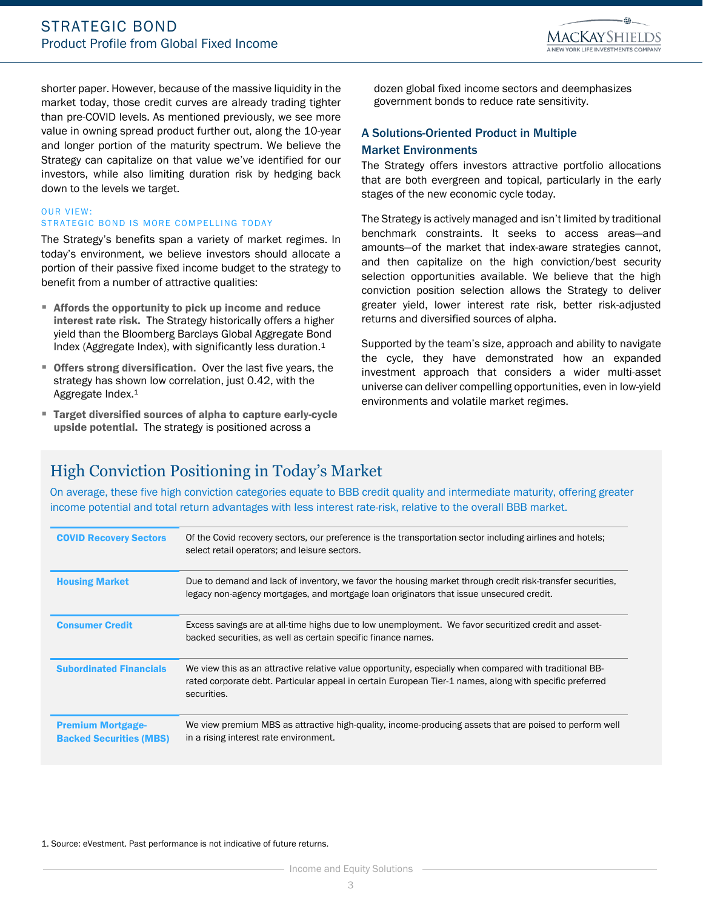

shorter paper. However, because of the massive liquidity in the market today, those credit curves are already trading tighter than pre-COVID levels. As mentioned previously, we see more value in owning spread product further out, along the 10-year and longer portion of the maturity spectrum. We believe the Strategy can capitalize on that value we've identified for our investors, while also limiting duration risk by hedging back down to the levels we target.

#### **OUR VIEW:** STRATEGIC BOND IS MORE COMPELLING TODAY

The Strategy's benefits span a variety of market regimes. In today's environment, we believe investors should allocate a portion of their passive fixed income budget to the strategy to benefit from a number of attractive qualities:

- Affords the opportunity to pick up income and reduce interest rate risk. The Strategy historically offers a higher yield than the Bloomberg Barclays Global Aggregate Bond Index (Aggregate Index), with significantly less duration.<sup>1</sup>
- **Offers strong diversification.** Over the last five years, the strategy has shown low correlation, just 0.42, with the Aggregate Index.<sup>1</sup>
- Target diversified sources of alpha to capture early-cycle upside potential. The strategy is positioned across a

dozen global fixed income sectors and deemphasizes government bonds to reduce rate sensitivity.

#### A Solutions-Oriented Product in Multiple Market Environments

The Strategy offers investors attractive portfolio allocations that are both evergreen and topical, particularly in the early stages of the new economic cycle today.

The Strategy is actively managed and isn't limited by traditional benchmark constraints. It seeks to access areas—and amounts—of the market that index-aware strategies cannot, and then capitalize on the high conviction/best security selection opportunities available. We believe that the high conviction position selection allows the Strategy to deliver greater yield, lower interest rate risk, better risk-adjusted returns and diversified sources of alpha.

Supported by the team's size, approach and ability to navigate the cycle, they have demonstrated how an expanded investment approach that considers a wider multi-asset universe can deliver compelling opportunities, even in low-yield environments and volatile market regimes.

## High Conviction Positioning in Today's Market

On average, these five high conviction categories equate to BBB credit quality and intermediate maturity, offering greater income potential and total return advantages with less interest rate-risk, relative to the overall BBB market.

| <b>COVID Recovery Sectors</b>                              | Of the Covid recovery sectors, our preference is the transportation sector including airlines and hotels;<br>select retail operators; and leisure sectors.                                                                        |
|------------------------------------------------------------|-----------------------------------------------------------------------------------------------------------------------------------------------------------------------------------------------------------------------------------|
| <b>Housing Market</b>                                      | Due to demand and lack of inventory, we favor the housing market through credit risk-transfer securities,<br>legacy non-agency mortgages, and mortgage loan originators that issue unsecured credit.                              |
| <b>Consumer Credit</b>                                     | Excess savings are at all-time highs due to low unemployment. We favor securitized credit and asset-<br>backed securities, as well as certain specific finance names.                                                             |
| <b>Subordinated Financials</b>                             | We view this as an attractive relative value opportunity, especially when compared with traditional BB-<br>rated corporate debt. Particular appeal in certain European Tier-1 names, along with specific preferred<br>securities. |
| <b>Premium Mortgage-</b><br><b>Backed Securities (MBS)</b> | We view premium MBS as attractive high-quality, income-producing assets that are poised to perform well<br>in a rising interest rate environment.                                                                                 |

1. Source: eVestment. Past performance is not indicative of future returns.